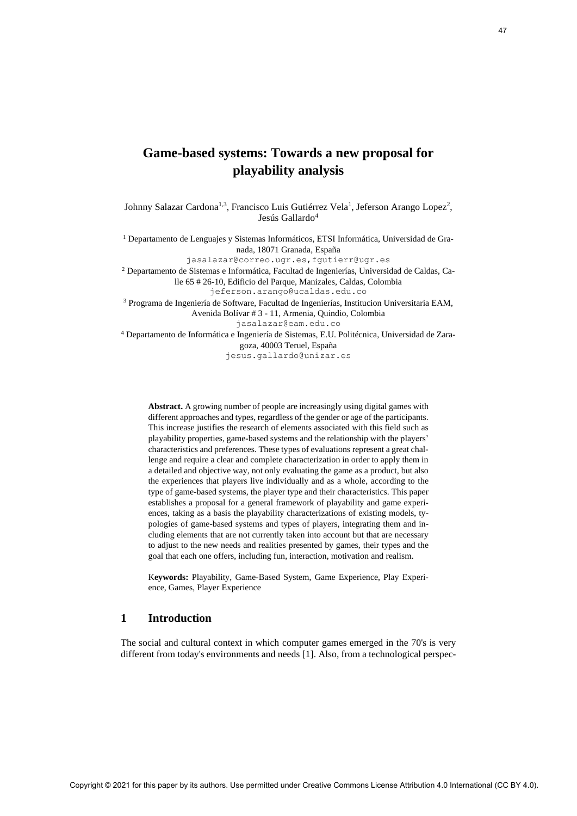# **Game-based systems: Towards a new proposal for playability analysis**

Johnny Salazar Cardona<sup>1,3</sup>, Francisco Luis Gutiérrez Vela<sup>1</sup>, Jeferson Arango Lopez<sup>2</sup>, Jesús Gallardo<sup>4</sup>

<sup>1</sup> Departamento de Lenguajes y Sistemas Informáticos, ETSI Informática, Universidad de Granada, 18071 Granada, España

jasalazar@correo.ugr.es,fgutierr@ugr.es

<sup>2</sup> Departamento de Sistemas e Informática, Facultad de Ingenierías, Universidad de Caldas, Calle 65 # 26-10, Edificio del Parque, Manizales, Caldas, Colombia [jeferson.arango@ucaldas.edu.co](mailto:jeferson.arango@ucaldas.edu.co)

<sup>3</sup> Programa de Ingeniería de Software, Facultad de Ingenierías, Institucion Universitaria EAM, Avenida Bolívar # 3 - 11, Armenia, Quindio, Colombia jasalazar@eam.edu.co

<sup>4</sup> Departamento de Informática e Ingeniería de Sistemas, E.U. Politécnica, Universidad de Zaragoza, 40003 Teruel, España

jesus.gallardo@unizar.es

**Abstract.** A growing number of people are increasingly using digital games with different approaches and types, regardless of the gender or age of the participants. This increase justifies the research of elements associated with this field such as playability properties, game-based systems and the relationship with the players' characteristics and preferences. These types of evaluations represent a great challenge and require a clear and complete characterization in order to apply them in a detailed and objective way, not only evaluating the game as a product, but also the experiences that players live individually and as a whole, according to the type of game-based systems, the player type and their characteristics. This paper establishes a proposal for a general framework of playability and game experiences, taking as a basis the playability characterizations of existing models, typologies of game-based systems and types of players, integrating them and including elements that are not currently taken into account but that are necessary to adjust to the new needs and realities presented by games, their types and the goal that each one offers, including fun, interaction, motivation and realism. Corres-braned systems: Towards a new proposal for the Damas and the Damas and the Damas and the Damas and the Creative Creative Commons License Attribution 4.0 International (CC BY 4.0). The proposal for the Creative Comm

K**eywords:** Playability, Game-Based System, Game Experience, Play Experience, Games, Player Experience

## **1 Introduction**

The social and cultural context in which computer games emerged in the 70's is very different from today's environments and needs [1]. Also, from a technological perspec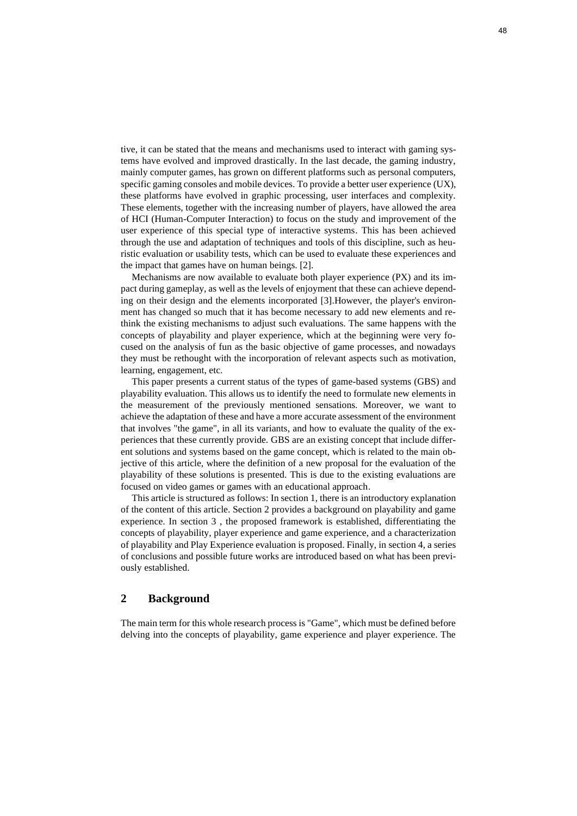tive, it can be stated that the means and mechanisms used to interact with gaming systems have evolved and improved drastically. In the last decade, the gaming industry, mainly computer games, has grown on different platforms such as personal computers, specific gaming consoles and mobile devices. To provide a better user experience (UX), these platforms have evolved in graphic processing, user interfaces and complexity. These elements, together with the increasing number of players, have allowed the area of HCI (Human-Computer Interaction) to focus on the study and improvement of the user experience of this special type of interactive systems. This has been achieved through the use and adaptation of techniques and tools of this discipline, such as heuristic evaluation or usability tests, which can be used to evaluate these experiences and the impact that games have on human beings. [2].

Mechanisms are now available to evaluate both player experience (PX) and its impact during gameplay, as well as the levels of enjoyment that these can achieve depending on their design and the elements incorporated [3].However, the player's environment has changed so much that it has become necessary to add new elements and rethink the existing mechanisms to adjust such evaluations. The same happens with the concepts of playability and player experience, which at the beginning were very focused on the analysis of fun as the basic objective of game processes, and nowadays they must be rethought with the incorporation of relevant aspects such as motivation, learning, engagement, etc.

This paper presents a current status of the types of game-based systems (GBS) and playability evaluation. This allows us to identify the need to formulate new elements in the measurement of the previously mentioned sensations. Moreover, we want to achieve the adaptation of these and have a more accurate assessment of the environment that involves "the game", in all its variants, and how to evaluate the quality of the experiences that these currently provide. GBS are an existing concept that include different solutions and systems based on the game concept, which is related to the main objective of this article, where the definition of a new proposal for the evaluation of the playability of these solutions is presented. This is due to the existing evaluations are focused on video games or games with an educational approach.

This article is structured as follows: In section 1, there is an introductory explanation of the content of this article. Section 2 provides a background on playability and game experience. In section 3 , the proposed framework is established, differentiating the concepts of playability, player experience and game experience, and a characterization of playability and Play Experience evaluation is proposed. Finally, in section 4, a series of conclusions and possible future works are introduced based on what has been previously established.

## **2 Background**

The main term for this whole research process is "Game", which must be defined before delving into the concepts of playability, game experience and player experience. The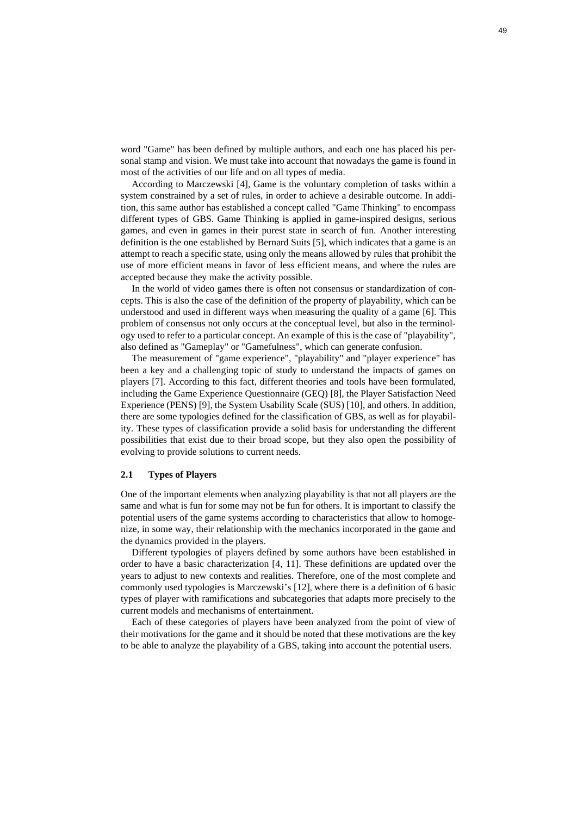word "Game" has been defined by multiple authors, and each one has placed his personal stamp and vision. We must take into account that nowadays the game is found in most of the activities of our life and on all types of media.

According to Marczewski [4], Game is the voluntary completion of tasks within a system constrained by a set of rules, in order to achieve a desirable outcome. In addition, this same author has established a concept called "Game Thinking" to encompass different types of GBS. Game Thinking is applied in game-inspired designs, serious games, and even in games in their purest state in search of fun. Another interesting definition is the one established by [Bernard Suits](https://www.google.com.co/search?hl=es&tbo=p&tbm=bks&q=inauthor:%22Bernard+Suits%22) [5], which indicates that a game is an attempt to reach a specific state, using only the means allowed by rules that prohibit the use of more efficient means in favor of less efficient means, and where the rules are accepted because they make the activity possible.

In the world of video games there is often not consensus or standardization of concepts. This is also the case of the definition of the property of playability, which can be understood and used in different ways when measuring the quality of a game [6]. This problem of consensus not only occurs at the conceptual level, but also in the terminology used to refer to a particular concept. An example of this is the case of "playability", also defined as "Gameplay" or "Gamefulness", which can generate confusion.

The measurement of "game experience", "playability" and "player experience" has been a key and a challenging topic of study to understand the impacts of games on players [7]. According to this fact, different theories and tools have been formulated, including the Game Experience Questionnaire (GEQ) [8], the Player Satisfaction Need Experience (PENS) [9], the System Usability Scale (SUS) [10], and others. In addition, there are some typologies defined for the classification of GBS, as well as for playability. These types of classification provide a solid basis for understanding the different possibilities that exist due to their broad scope, but they also open the possibility of evolving to provide solutions to current needs.

#### **2.1 Types of Players**

One of the important elements when analyzing playability is that not all players are the same and what is fun for some may not be fun for others. It is important to classify the potential users of the game systems according to characteristics that allow to homogenize, in some way, their relationship with the mechanics incorporated in the game and the dynamics provided in the players.

Different typologies of players defined by some authors have been established in order to have a basic characterization [4, 11]. These definitions are updated over the years to adjust to new contexts and realities. Therefore, one of the most complete and commonly used typologies is Marczewski's [12], where there is a definition of 6 basic types of player with ramifications and subcategories that adapts more precisely to the current models and mechanisms of entertainment.

Each of these categories of players have been analyzed from the point of view of their motivations for the game and it should be noted that these motivations are the key to be able to analyze the playability of a GBS, taking into account the potential users.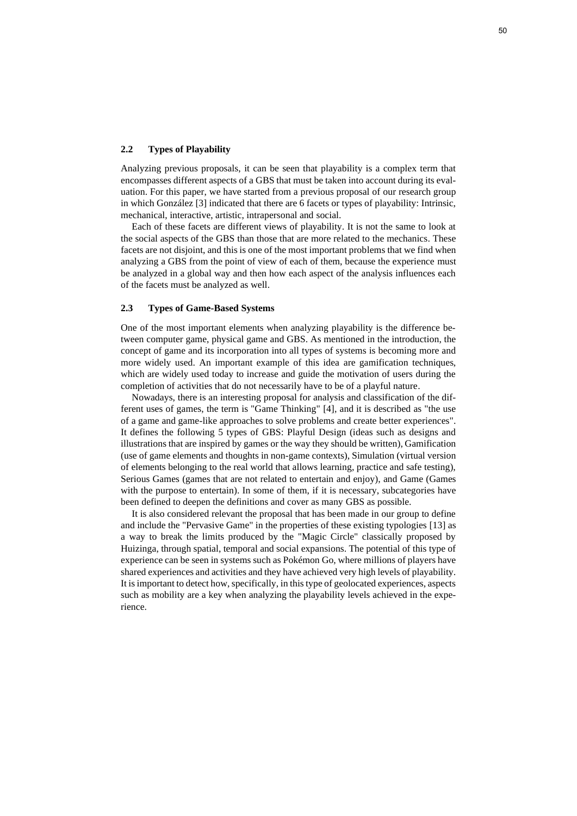### **2.2 Types of Playability**

Analyzing previous proposals, it can be seen that playability is a complex term that encompasses different aspects of a GBS that must be taken into account during its evaluation. For this paper, we have started from a previous proposal of our research group in which González [3] indicated that there are 6 facets or types of playability: Intrinsic, mechanical, interactive, artistic, intrapersonal and social.

Each of these facets are different views of playability. It is not the same to look at the social aspects of the GBS than those that are more related to the mechanics. These facets are not disjoint, and this is one of the most important problems that we find when analyzing a GBS from the point of view of each of them, because the experience must be analyzed in a global way and then how each aspect of the analysis influences each of the facets must be analyzed as well.

### **2.3 Types of Game-Based Systems**

One of the most important elements when analyzing playability is the difference between computer game, physical game and GBS. As mentioned in the introduction, the concept of game and its incorporation into all types of systems is becoming more and more widely used. An important example of this idea are gamification techniques, which are widely used today to increase and guide the motivation of users during the completion of activities that do not necessarily have to be of a playful nature.

Nowadays, there is an interesting proposal for analysis and classification of the different uses of games, the term is "Game Thinking" [4], and it is described as "the use of a game and game-like approaches to solve problems and create better experiences". It defines the following 5 types of GBS: Playful Design (ideas such as designs and illustrations that are inspired by games or the way they should be written), Gamification (use of game elements and thoughts in non-game contexts), Simulation (virtual version of elements belonging to the real world that allows learning, practice and safe testing), Serious Games (games that are not related to entertain and enjoy), and Game (Games with the purpose to entertain). In some of them, if it is necessary, subcategories have been defined to deepen the definitions and cover as many GBS as possible.

It is also considered relevant the proposal that has been made in our group to define and include the "Pervasive Game" in the properties of these existing typologies [13] as a way to break the limits produced by the "Magic Circle" classically proposed by Huizinga, through spatial, temporal and social expansions. The potential of this type of experience can be seen in systems such as Pokémon Go, where millions of players have shared experiences and activities and they have achieved very high levels of playability. It is important to detect how, specifically, in this type of geolocated experiences, aspects such as mobility are a key when analyzing the playability levels achieved in the experience.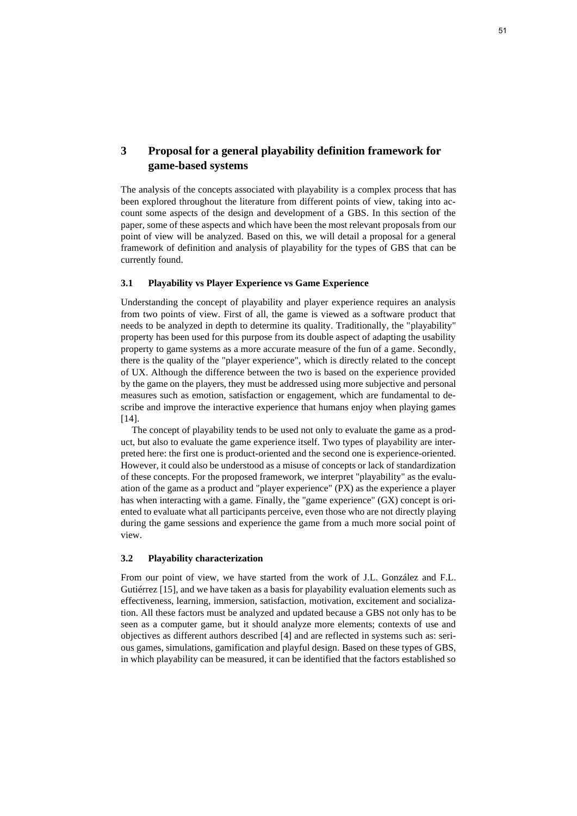## **3 Proposal for a general playability definition framework for game-based systems**

The analysis of the concepts associated with playability is a complex process that has been explored throughout the literature from different points of view, taking into account some aspects of the design and development of a GBS. In this section of the paper, some of these aspects and which have been the most relevant proposals from our point of view will be analyzed. Based on this, we will detail a proposal for a general framework of definition and analysis of playability for the types of GBS that can be currently found.

## **3.1 Playability vs Player Experience vs Game Experience**

Understanding the concept of playability and player experience requires an analysis from two points of view. First of all, the game is viewed as a software product that needs to be analyzed in depth to determine its quality. Traditionally, the "playability" property has been used for this purpose from its double aspect of adapting the usability property to game systems as a more accurate measure of the fun of a game. Secondly, there is the quality of the "player experience", which is directly related to the concept of UX. Although the difference between the two is based on the experience provided by the game on the players, they must be addressed using more subjective and personal measures such as emotion, satisfaction or engagement, which are fundamental to describe and improve the interactive experience that humans enjoy when playing games [14].

The concept of playability tends to be used not only to evaluate the game as a product, but also to evaluate the game experience itself. Two types of playability are interpreted here: the first one is product-oriented and the second one is experience-oriented. However, it could also be understood as a misuse of concepts or lack of standardization of these concepts. For the proposed framework, we interpret "playability" as the evaluation of the game as a product and "player experience" (PX) as the experience a player has when interacting with a game. Finally, the "game experience" (GX) concept is oriented to evaluate what all participants perceive, even those who are not directly playing during the game sessions and experience the game from a much more social point of view.

## **3.2 Playability characterization**

From our point of view, we have started from the work of J.L. González and F.L. Gutiérrez [15], and we have taken as a basis for playability evaluation elements such as effectiveness, learning, immersion, satisfaction, motivation, excitement and socialization. All these factors must be analyzed and updated because a GBS not only has to be seen as a computer game, but it should analyze more elements; contexts of use and objectives as different authors described [4] and are reflected in systems such as: serious games, simulations, gamification and playful design. Based on these types of GBS, in which playability can be measured, it can be identified that the factors established so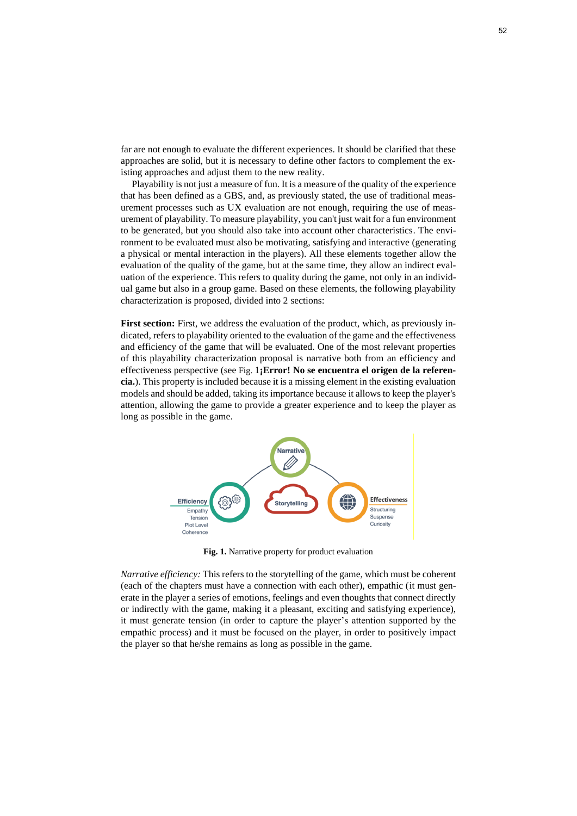far are not enough to evaluate the different experiences. It should be clarified that these approaches are solid, but it is necessary to define other factors to complement the existing approaches and adjust them to the new reality.

Playability is not just a measure of fun. It is a measure of the quality of the experience that has been defined as a GBS, and, as previously stated, the use of traditional measurement processes such as UX evaluation are not enough, requiring the use of measurement of playability. To measure playability, you can't just wait for a fun environment to be generated, but you should also take into account other characteristics. The environment to be evaluated must also be motivating, satisfying and interactive (generating a physical or mental interaction in the players). All these elements together allow the evaluation of the quality of the game, but at the same time, they allow an indirect evaluation of the experience. This refers to quality during the game, not only in an individual game but also in a group game. Based on these elements, the following playability characterization is proposed, divided into 2 sections:

First section: First, we address the evaluation of the product, which, as previously indicated, refers to playability oriented to the evaluation of the game and the effectiveness and efficiency of the game that will be evaluated. One of the most relevant properties of this playability characterization proposal is narrative both from an efficiency and effectiveness perspective (see [Fig.](#page-5-0) [1](#page-5-0)**¡Error! No se encuentra el origen de la referencia.**). This property is included because it is a missing element in the existing evaluation models and should be added, taking its importance because it allows to keep the player's attention, allowing the game to provide a greater experience and to keep the player as long as possible in the game.



**Fig. 1.** Narrative property for product evaluation

<span id="page-5-0"></span>*Narrative efficiency:* This refers to the storytelling of the game, which must be coherent (each of the chapters must have a connection with each other), empathic (it must generate in the player a series of emotions, feelings and even thoughts that connect directly or indirectly with the game, making it a pleasant, exciting and satisfying experience), it must generate tension (in order to capture the player's attention supported by the empathic process) and it must be focused on the player, in order to positively impact the player so that he/she remains as long as possible in the game.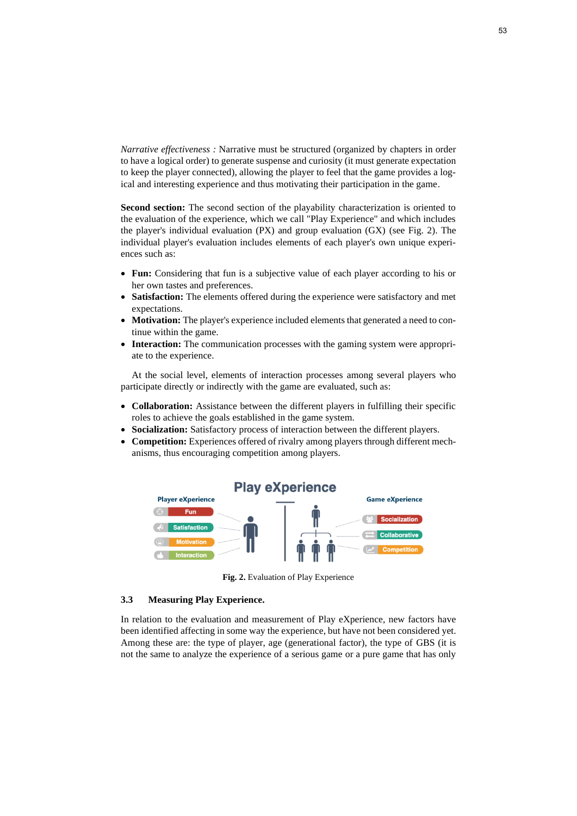*Narrative effectiveness :* Narrative must be structured (organized by chapters in order to have a logical order) to generate suspense and curiosity (it must generate expectation to keep the player connected), allowing the player to feel that the game provides a logical and interesting experience and thus motivating their participation in the game.

**Second section:** The second section of the playability characterization is oriented to the evaluation of the experience, which we call "Play Experience" and which includes the player's individual evaluation (PX) and group evaluation (GX) (see [Fig. 2\)](#page-6-0). The individual player's evaluation includes elements of each player's own unique experiences such as:

- **Fun:** Considering that fun is a subjective value of each player according to his or her own tastes and preferences.
- **Satisfaction:** The elements offered during the experience were satisfactory and met expectations.
- **Motivation:** The player's experience included elements that generated a need to continue within the game.
- **Interaction:** The communication processes with the gaming system were appropriate to the experience.

At the social level, elements of interaction processes among several players who participate directly or indirectly with the game are evaluated, such as:

- **Collaboration:** Assistance between the different players in fulfilling their specific roles to achieve the goals established in the game system.
- **Socialization:** Satisfactory process of interaction between the different players.
- **Competition:** Experiences offered of rivalry among players through different mechanisms, thus encouraging competition among players.



**Fig. 2.** Evaluation of Play Experience

### <span id="page-6-0"></span>**3.3 Measuring Play Experience.**

In relation to the evaluation and measurement of Play eXperience, new factors have been identified affecting in some way the experience, but have not been considered yet. Among these are: the type of player, age (generational factor), the type of GBS (it is not the same to analyze the experience of a serious game or a pure game that has only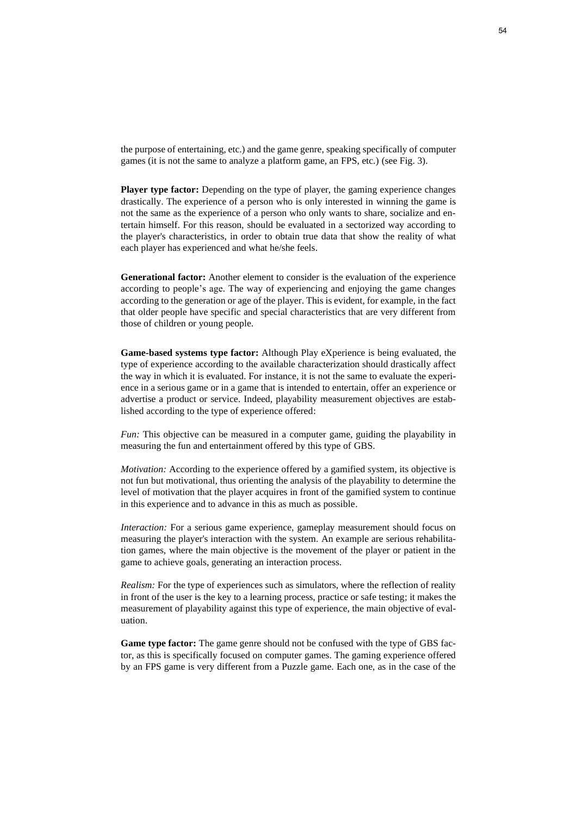the purpose of entertaining, etc.) and the game genre, speaking specifically of computer games (it is not the same to analyze a platform game, an FPS, etc.) (see [Fig. 3\)](#page-8-0).

**Player type factor:** Depending on the type of player, the gaming experience changes drastically. The experience of a person who is only interested in winning the game is not the same as the experience of a person who only wants to share, socialize and entertain himself. For this reason, should be evaluated in a sectorized way according to the player's characteristics, in order to obtain true data that show the reality of what each player has experienced and what he/she feels.

**Generational factor:** Another element to consider is the evaluation of the experience according to people's age. The way of experiencing and enjoying the game changes according to the generation or age of the player. This is evident, for example, in the fact that older people have specific and special characteristics that are very different from those of children or young people.

**Game-based systems type factor:** Although Play eXperience is being evaluated, the type of experience according to the available characterization should drastically affect the way in which it is evaluated. For instance, it is not the same to evaluate the experience in a serious game or in a game that is intended to entertain, offer an experience or advertise a product or service. Indeed, playability measurement objectives are established according to the type of experience offered:

*Fun:* This objective can be measured in a computer game, guiding the playability in measuring the fun and entertainment offered by this type of GBS.

*Motivation:* According to the experience offered by a gamified system, its objective is not fun but motivational, thus orienting the analysis of the playability to determine the level of motivation that the player acquires in front of the gamified system to continue in this experience and to advance in this as much as possible.

*Interaction:* For a serious game experience, gameplay measurement should focus on measuring the player's interaction with the system. An example are serious rehabilitation games, where the main objective is the movement of the player or patient in the game to achieve goals, generating an interaction process.

*Realism:* For the type of experiences such as simulators, where the reflection of reality in front of the user is the key to a learning process, practice or safe testing; it makes the measurement of playability against this type of experience, the main objective of evaluation.

**Game type factor:** The game genre should not be confused with the type of GBS factor, as this is specifically focused on computer games. The gaming experience offered by an FPS game is very different from a Puzzle game. Each one, as in the case of the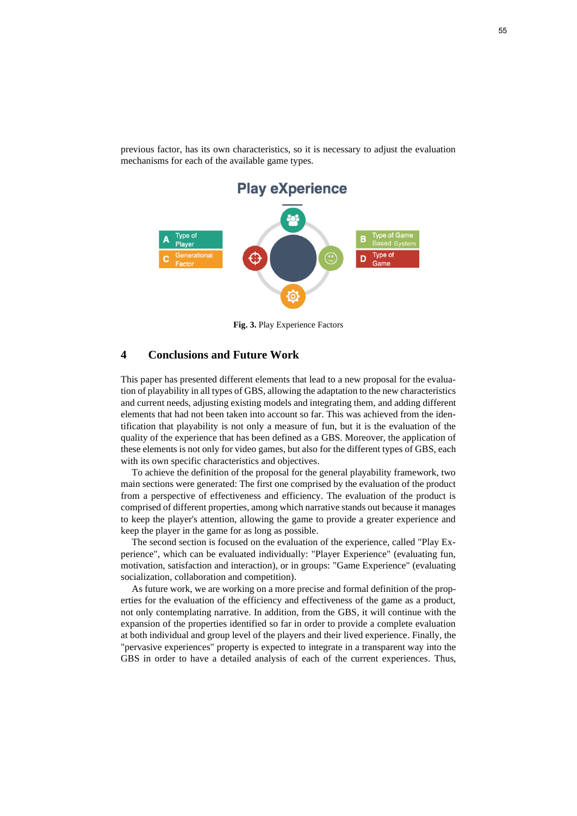

previous factor, has its own characteristics, so it is necessary to adjust the evaluation mechanisms for each of the available game types.

**Fig. 3.** Play Experience Factors

## <span id="page-8-0"></span>**4 Conclusions and Future Work**

This paper has presented different elements that lead to a new proposal for the evaluation of playability in all types of GBS, allowing the adaptation to the new characteristics and current needs, adjusting existing models and integrating them, and adding different elements that had not been taken into account so far. This was achieved from the identification that playability is not only a measure of fun, but it is the evaluation of the quality of the experience that has been defined as a GBS. Moreover, the application of these elements is not only for video games, but also for the different types of GBS, each with its own specific characteristics and objectives.

To achieve the definition of the proposal for the general playability framework, two main sections were generated: The first one comprised by the evaluation of the product from a perspective of effectiveness and efficiency. The evaluation of the product is comprised of different properties, among which narrative stands out because it manages to keep the player's attention, allowing the game to provide a greater experience and keep the player in the game for as long as possible.

The second section is focused on the evaluation of the experience, called "Play Experience", which can be evaluated individually: "Player Experience" (evaluating fun, motivation, satisfaction and interaction), or in groups: "Game Experience" (evaluating socialization, collaboration and competition).

As future work, we are working on a more precise and formal definition of the properties for the evaluation of the efficiency and effectiveness of the game as a product, not only contemplating narrative. In addition, from the GBS, it will continue with the expansion of the properties identified so far in order to provide a complete evaluation at both individual and group level of the players and their lived experience. Finally, the "pervasive experiences" property is expected to integrate in a transparent way into the GBS in order to have a detailed analysis of each of the current experiences. Thus,